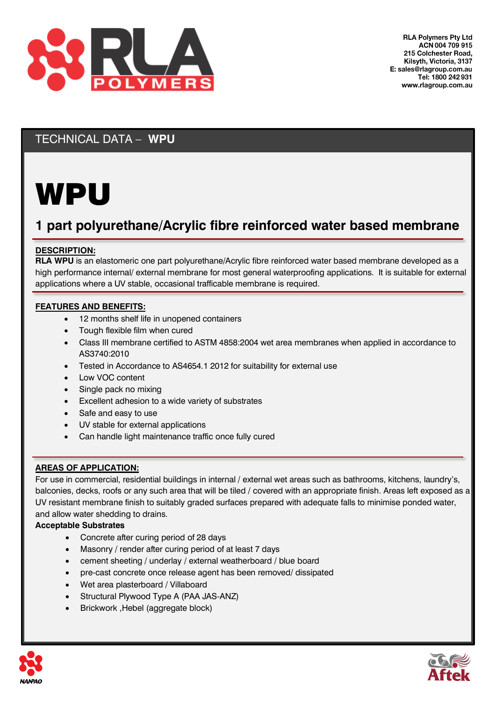

## TECHNICAL DATA – **WPU**

# WPU

## **1 part polyurethane/Acrylic fibre reinforced water based membrane**

#### **DESCRIPTION:**

**RLA WPU** is an elastomeric one part polyurethane/Acrylic fibre reinforced water based membrane developed as a high performance internal/ external membrane for most general waterproofing applications. It is suitable for external applications where a UV stable, occasional trafficable membrane is required.

#### **FEATURES AND BENEFITS:**

- 12 months shelf life in unopened containers
- Tough flexible film when cured
- Class III membrane certified to ASTM 4858:2004 wet area membranes when applied in accordance to AS3740:2010
- Tested in Accordance to AS4654.1 2012 for suitability for external use
- Low VOC content
- Single pack no mixing
- Excellent adhesion to a wide variety of substrates
- Safe and easy to use
- UV stable for external applications
- Can handle light maintenance traffic once fully cured

#### **AREAS OF APPLICATION:**

For use in commercial, residential buildings in internal / external wet areas such as bathrooms, kitchens, laundry's, balconies, decks, roofs or any such area that will be tiled / covered with an appropriate finish. Areas left exposed as a UV resistant membrane finish to suitably graded surfaces prepared with adequate falls to minimise ponded water, and allow water shedding to drains.

#### **Acceptable Substrates**

- Concrete after curing period of 28 days
- Masonry / render after curing period of at least 7 days
- cement sheeting / underlay / external weatherboard / blue board
- pre-cast concrete once release agent has been removed/ dissipated
- Wet area plasterboard / Villaboard
- Structural Plywood Type A (PAA JAS-ANZ)
- Brickwork ,Hebel (aggregate block)



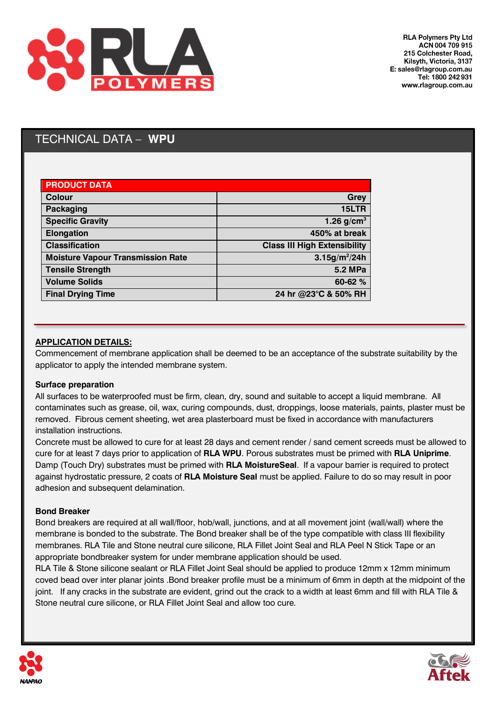

## TECHNICAL DATA – **WPU**

| <b>PRODUCT DATA</b>                      |                                     |
|------------------------------------------|-------------------------------------|
| Colour                                   | Grey                                |
| Packaging                                | 15LTR                               |
| <b>Specific Gravity</b>                  | 1.26 $g/cm3$                        |
| <b>Elongation</b>                        | 450% at break                       |
| <b>Classification</b>                    | <b>Class III High Extensibility</b> |
| <b>Moisture Vapour Transmission Rate</b> | 3.15g/m <sup>2</sup> /24h           |
| <b>Tensile Strength</b>                  | <b>5.2 MPa</b>                      |
| <b>Volume Solids</b>                     | 60-62 %                             |
| <b>Final Drying Time</b>                 | 24 hr @23°C & 50% RH                |

#### **APPLICATION DETAILS:**

Commencement of membrane application shall be deemed to be an acceptance of the substrate suitability by the applicator to apply the intended membrane system.

#### **Surface preparation**

All surfaces to be waterproofed must be firm, clean, dry, sound and suitable to accept a liquid membrane. All contaminates such as grease, oil, wax, curing compounds, dust, droppings, loose materials, paints, plaster must be removed. Fibrous cement sheeting, wet area plasterboard must be fixed in accordance with manufacturers installation instructions.

Concrete must be allowed to cure for at least 28 days and cement render / sand cement screeds must be allowed to cure for at least 7 days prior to application of **RLA WPU**. Porous substrates must be primed with **RLA Uniprime**. Damp (Touch Dry) substrates must be primed with **RLA MoistureSeal**. If a vapour barrier is required to protect against hydrostatic pressure, 2 coats of **RLA Moisture Seal** must be applied. Failure to do so may result in poor adhesion and subsequent delamination.

#### **Bond Breaker**

Bond breakers are required at all wall/floor, hob/wall, junctions, and at all movement joint (wall/wall) where the membrane is bonded to the substrate. The Bond breaker shall be of the type compatible with class III flexibility membranes. RLA Tile and Stone neutral cure silicone, RLA Fillet Joint Seal and RLA Peel N Stick Tape or an appropriate bondbreaker system for under membrane application should be used.

RLA Tile & Stone silicone sealant or RLA Fillet Joint Seal should be applied to produce 12mm x 12mm minimum coved bead over inter planar joints .Bond breaker profile must be a minimum of 6mm in depth at the midpoint of the joint. If any cracks in the substrate are evident, grind out the crack to a width at least 6mm and fill with RLA Tile & Stone neutral cure silicone, or RLA Fillet Joint Seal and allow too cure.



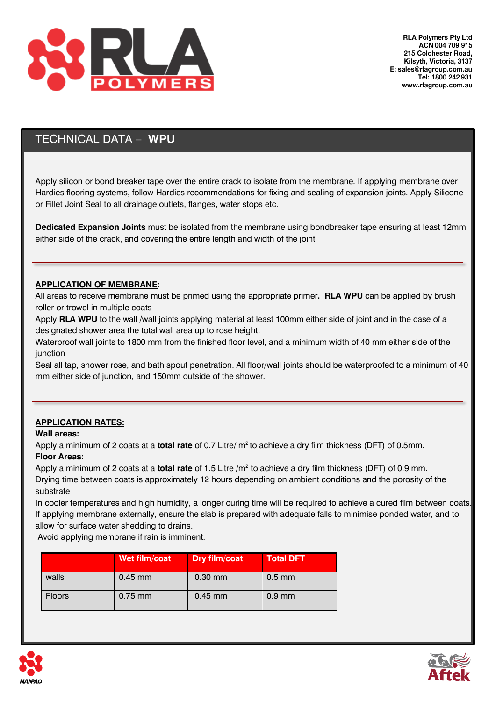

## TECHNICAL DATA – **WPU**

Apply silicon or bond breaker tape over the entire crack to isolate from the membrane. If applying membrane over Hardies flooring systems, follow Hardies recommendations for fixing and sealing of expansion joints. Apply Silicone or Fillet Joint Seal to all drainage outlets, flanges, water stops etc.

**Dedicated Expansion Joints** must be isolated from the membrane using bondbreaker tape ensuring at least 12mm either side of the crack, and covering the entire length and width of the joint

#### **APPLICATION OF MEMBRANE:**

All areas to receive membrane must be primed using the appropriate primer**. RLA WPU** can be applied by brush roller or trowel in multiple coats

Apply **RLA WPU** to the wall /wall joints applying material at least 100mm either side of joint and in the case of a designated shower area the total wall area up to rose height.

Waterproof wall joints to 1800 mm from the finished floor level, and a minimum width of 40 mm either side of the junction

Seal all tap, shower rose, and bath spout penetration. All floor/wall joints should be waterproofed to a minimum of 40 mm either side of junction, and 150mm outside of the shower.

#### **APPLICATION RATES:**

#### **Wall areas:**

Apply a minimum of 2 coats at a **total rate** of 0.7 Litre/ m<sup>2</sup> to achieve a dry film thickness (DFT) of 0.5mm. **Floor Areas:**

Apply a minimum of 2 coats at a **total rate** of 1.5 Litre /m<sup>2</sup> to achieve a dry film thickness (DFT) of 0.9 mm. Drying time between coats is approximately 12 hours depending on ambient conditions and the porosity of the substrate

In cooler temperatures and high humidity, a longer curing time will be required to achieve a cured film between coats. If applying membrane externally, ensure the slab is prepared with adequate falls to minimise ponded water, and to allow for surface water shedding to drains.

Avoid applying membrane if rain is imminent.

|               | Wet film/coat | Dry film/coat | <b>Total DFT</b> |
|---------------|---------------|---------------|------------------|
| walls         | $0.45$ mm     | $0.30$ mm     | $0.5$ mm         |
| <b>Floors</b> | $0.75$ mm     | $0.45$ mm     | $0.9$ mm         |



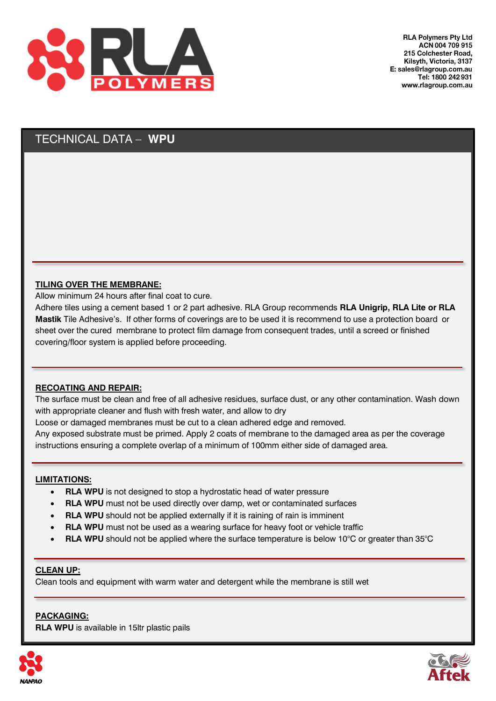

### TECHNICAL DATA – **WPU**

#### **TILING OVER THE MEMBRANE:**

Allow minimum 24 hours after final coat to cure.

Adhere tiles using a cement based 1 or 2 part adhesive. RLA Group recommends **RLA Unigrip, RLA Lite or RLA Mastik** Tile Adhesive's. If other forms of coverings are to be used it is recommend to use a protection board or sheet over the cured membrane to protect film damage from consequent trades, until a screed or finished covering/floor system is applied before proceeding.

#### **RECOATING AND REPAIR:**

The surface must be clean and free of all adhesive residues, surface dust, or any other contamination. Wash down with appropriate cleaner and flush with fresh water, and allow to dry

Loose or damaged membranes must be cut to a clean adhered edge and removed.

Any exposed substrate must be primed. Apply 2 coats of membrane to the damaged area as per the coverage instructions ensuring a complete overlap of a minimum of 100mm either side of damaged area.

#### **LIMITATIONS:**

- **RLA WPU** is not designed to stop a hydrostatic head of water pressure
- **RLA WPU** must not be used directly over damp, wet or contaminated surfaces
- **RLA WPU** should not be applied externally if it is raining of rain is imminent
- **RLA WPU** must not be used as a wearing surface for heavy foot or vehicle traffic
- **RLA WPU** should not be applied where the surface temperature is below 10°C or greater than 35°C

#### **CLEAN UP:**

Clean tools and equipment with warm water and detergent while the membrane is still wet

#### **PACKAGING:**

**RLA WPU** is available in 15ltr plastic pails